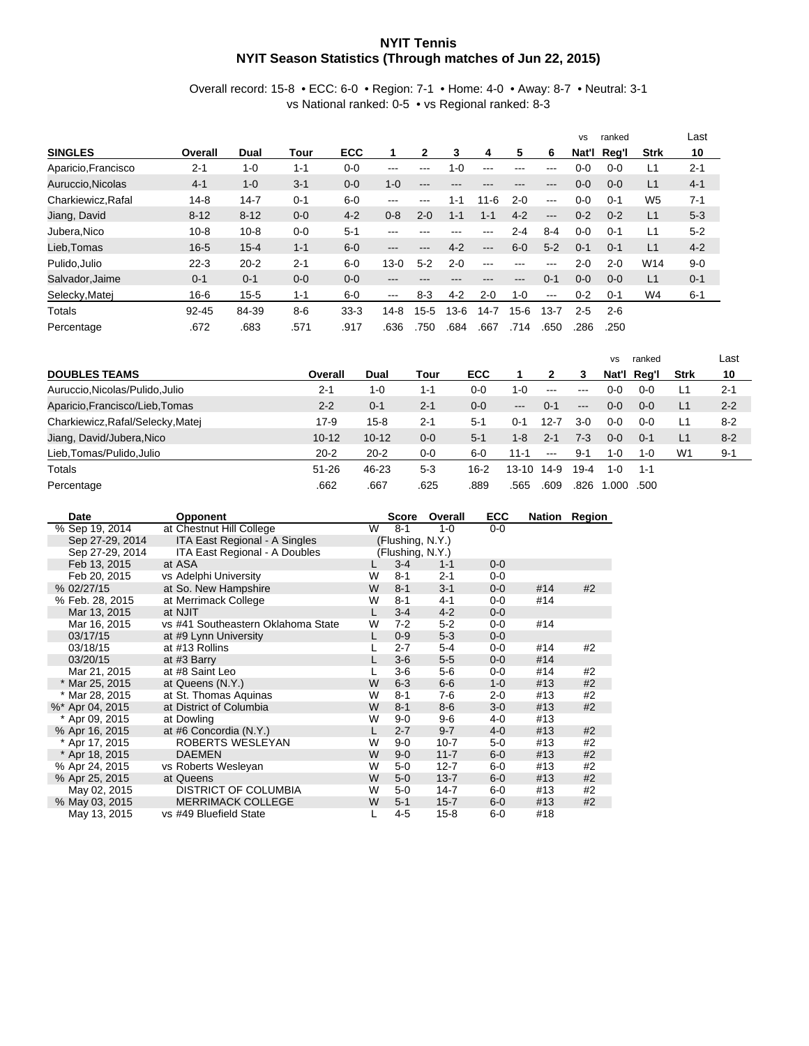## **NYIT Tennis NYIT Season Statistics (Through matches of Jun 22, 2015)**

Overall record: 15-8 • ECC: 6-0 • Region: 7-1 • Home: 4-0 • Away: 8-7 • Neutral: 3-1 vs National ranked: 0-5 • vs Regional ranked: 8-3

|                     |           |          |         |            |                        |          |         |          |          |          | <b>VS</b> | ranked  |                | Last    |
|---------------------|-----------|----------|---------|------------|------------------------|----------|---------|----------|----------|----------|-----------|---------|----------------|---------|
| <b>SINGLES</b>      | Overall   | Dual     | Tour    | <b>ECC</b> |                        | 2        | 3       | 4        | 5        | 6        | Nat'l     | Reg'l   | <b>Strk</b>    | 10      |
| Aparicio, Francisco | $2 - 1$   | $1 - 0$  | $1 - 1$ | $0 - 0$    | ---                    | ---      | $1 - 0$ | $- - -$  | ---      | ---      | $0 - 0$   | $0 - 0$ | L1             | $2 - 1$ |
| Auruccio, Nicolas   | $4 - 1$   | $1 - 0$  | $3 - 1$ | $0 - 0$    | $1 - 0$                | ---      | ---     | ---      | ---      | ---      | $0 - 0$   | $0 - 0$ | L1             | $4 - 1$ |
| Charkiewicz.Rafal   | $14-8$    | $14 - 7$ | $0 - 1$ | $6-0$      | ---                    | ---      | $1 - 1$ | $11 - 6$ | $2 - 0$  | $---$    | $0 - 0$   | $0 - 1$ | W <sub>5</sub> | $7 - 1$ |
| Jiang, David        | $8 - 12$  | $8 - 12$ | $0 - 0$ | $4 - 2$    | $0 - 8$                | $2 - 0$  | $1 - 1$ | $1 - 1$  | $4 - 2$  | $---$    | $0 - 2$   | $0 - 2$ | L1             | $5-3$   |
| Jubera, Nico        | $10 - 8$  | $10 - 8$ | $0 - 0$ | $5 - 1$    | ---                    | ---      | ---     | ---      | $2 - 4$  | 8-4      | $0 - 0$   | $0 - 1$ | L <sub>1</sub> | $5 - 2$ |
| Lieb.Tomas          | $16 - 5$  | $15 - 4$ | $1 - 1$ | $6-0$      | ---                    | ---      | $4 - 2$ | $---$    | $6-0$    | $5 - 2$  | $0 - 1$   | $0 - 1$ | L1             | $4 - 2$ |
| Pulido.Julio        | $22 - 3$  | $20 - 2$ | $2 - 1$ | $6-0$      | $13 - 0$               | $5 - 2$  | $2 - 0$ | $- - -$  | ---      | ---      | $2 - 0$   | $2 - 0$ | W14            | $9 - 0$ |
| Salvador, Jaime     | $0 - 1$   | $0 - 1$  | $0 - 0$ | $0 - 0$    | ---                    | ---      | ---     | ---      | ---      | $0 - 1$  | $0 - 0$   | $0 - 0$ | L1             | $0 - 1$ |
| Selecky, Matei      | $16 - 6$  | $15 - 5$ | $1 - 1$ | $6-0$      | $\qquad \qquad \cdots$ | $8 - 3$  | $4 - 2$ | $2 - 0$  | $1 - 0$  | $--$     | $0 - 2$   | $0 - 1$ | W4             | $6 - 1$ |
| Totals              | $92 - 45$ | 84-39    | 8-6     | $33 - 3$   | $14-8$                 | $15 - 5$ | $3-6$   | $14 - 7$ | $15 - 6$ | $13 - 7$ | $2 - 5$   | $2 - 6$ |                |         |
| Percentage          | .672      | .683     | .571    | .917       | .636                   | .750     | .684    | .667     | .714     | .650     | .286      | .250    |                |         |

|                                   |           |           |         |            |           |                        |                        | <b>VS</b>   | ranked  |                | Last    |
|-----------------------------------|-----------|-----------|---------|------------|-----------|------------------------|------------------------|-------------|---------|----------------|---------|
| <b>DOUBLES TEAMS</b>              | Overall   | Dual      | Tour    | <b>ECC</b> |           |                        | 3                      | Nat'l       | Rea'l   | <b>Strk</b>    | 10      |
| Auruccio, Nicolas/Pulido, Julio   | $2-1$     | $1 - 0$   | $1 - 1$ | 0-0        | 1-0       | $\frac{1}{2}$          | $-- -$                 | $0 - 0$     | $0 - 0$ | L1             | $2 - 1$ |
| Aparicio, Francisco/Lieb, Tomas   | $2 - 2$   | $0 - 1$   | $2 - 1$ | $0 - 0$    | $-- -$    | $0 - 1$                | $\qquad \qquad \cdots$ | $0 - 0$     | $0 - 0$ | L1             | $2 - 2$ |
| Charkiewicz, Rafal/Selecky, Matej | 17-9      | $15 - 8$  | $2 - 1$ | $5 - 1$    | $0 - 1$   | 12-7                   | $3-0$                  | $0 - 0$     | $0 - 0$ | L1             | $8 - 2$ |
| Jiang, David/Jubera, Nico         | $10 - 12$ | $10 - 12$ | $0-0$   | $5 - 1$    | $1 - 8$   | $2 - 1$                | $7-3$                  | $0 - 0$     | $0 - 1$ | L1             | $8 - 2$ |
| Lieb, Tomas/Pulido, Julio         | $20 - 2$  | $20 - 2$  | $0-0$   | $6-0$      | $11 - 1$  | $\qquad \qquad \cdots$ | $9 - 1$                | 1-0         | $1 - 0$ | W <sub>1</sub> | $9-1$   |
| Totals                            | $51 - 26$ | 46-23     | $5-3$   | 16-2       | $13 - 10$ | $14-9$                 | 19-4                   | 1- $\Omega$ | 1-1     |                |         |
| Percentage                        | .662      | .667      | .625    | .889       | .565      | .609                   | .826                   | .000        | .500    |                |         |

| Date            | <b>Opponent</b>                      |   | <b>Score</b>     | Overall  | <b>ECC</b> |     | Nation Region |
|-----------------|--------------------------------------|---|------------------|----------|------------|-----|---------------|
| % Sep 19, 2014  | at Chestnut Hill College             | W | $8 - 1$          | $1 - 0$  | $0 - 0$    |     |               |
| Sep 27-29, 2014 | <b>ITA East Regional - A Singles</b> |   | (Flushing, N.Y.) |          |            |     |               |
| Sep 27-29, 2014 | ITA East Regional - A Doubles        |   | (Flushing, N.Y.) |          |            |     |               |
| Feb 13, 2015    | at ASA                               |   | $3 - 4$          | $1 - 1$  | $0-0$      |     |               |
| Feb 20, 2015    | vs Adelphi University                | W | $8 - 1$          | $2 - 1$  | $0 - 0$    |     |               |
| % 02/27/15      | at So. New Hampshire                 | W | $8 - 1$          | $3 - 1$  | $0-0$      | #14 | #2            |
| % Feb. 28, 2015 | at Merrimack College                 | W | $8 - 1$          | $4 - 1$  | $0-0$      | #14 |               |
| Mar 13, 2015    | at NJIT                              |   | $3-4$            | $4 - 2$  | $0 - 0$    |     |               |
| Mar 16, 2015    | vs #41 Southeastern Oklahoma State   | W | $7-2$            | $5 - 2$  | $0 - 0$    | #14 |               |
| 03/17/15        | at #9 Lynn University                | L | $0 - 9$          | $5-3$    | $0 - 0$    |     |               |
| 03/18/15        | at #13 Rollins                       |   | $2 - 7$          | $5-4$    | 0-0        | #14 | #2            |
| 03/20/15        | at #3 Barry                          |   | $3-6$            | $5-5$    | $0 - 0$    | #14 |               |
| Mar 21, 2015    | at #8 Saint Leo                      |   | $3-6$            | $5-6$    | $0-0$      | #14 | #2            |
| * Mar 25, 2015  | at Queens (N.Y.)                     | W | $6 - 3$          | $6 - 6$  | $1 - 0$    | #13 | #2            |
| * Mar 28, 2015  | at St. Thomas Aquinas                | W | $8 - 1$          | $7-6$    | $2 - 0$    | #13 | #2            |
| %* Apr 04, 2015 | at District of Columbia              | W | $8 - 1$          | $8 - 6$  | $3-0$      | #13 | #2            |
| * Apr 09, 2015  | at Dowling                           | W | $9-0$            | $9 - 6$  | $4 - 0$    | #13 |               |
| % Apr 16, 2015  | at #6 Concordia (N.Y.)               | L | $2 - 7$          | $9 - 7$  | $4 - 0$    | #13 | #2            |
| * Apr 17, 2015  | ROBERTS WESLEYAN                     | W | $9-0$            | $10 - 7$ | $5-0$      | #13 | #2            |
| * Apr 18, 2015  | <b>DAEMEN</b>                        | W | $9 - 0$          | $11 - 7$ | $6-0$      | #13 | #2            |
| % Apr 24, 2015  | vs Roberts Wesleyan                  | W | $5-0$            | $12 - 7$ | $6-0$      | #13 | #2            |
| % Apr 25, 2015  | at Queens                            | W | $5-0$            | $13 - 7$ | $6-0$      | #13 | #2            |
| May 02, 2015    | <b>DISTRICT OF COLUMBIA</b>          | W | $5-0$            | $14 - 7$ | $6-0$      | #13 | #2            |
| % May 03, 2015  | <b>MERRIMACK COLLEGE</b>             | W | $5 - 1$          | $15 - 7$ | $6-0$      | #13 | #2            |
| May 13, 2015    | vs #49 Bluefield State               |   | 4-5              | $15 - 8$ | $6-0$      | #18 |               |